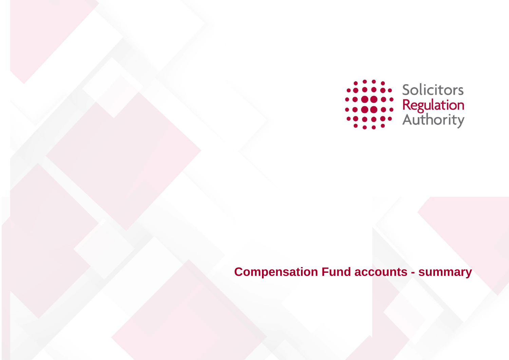

# **Compensation Fund accounts - summary**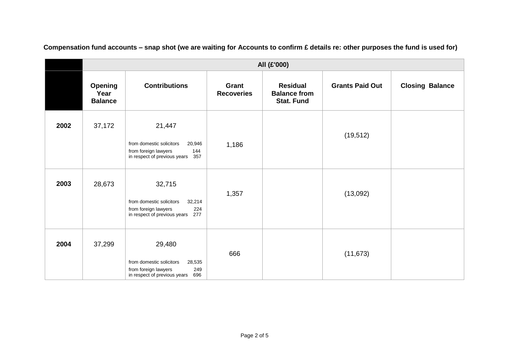|      | All (£'000)                              |                                                                                                                    |                            |                                                             |                        |                        |
|------|------------------------------------------|--------------------------------------------------------------------------------------------------------------------|----------------------------|-------------------------------------------------------------|------------------------|------------------------|
|      | <b>Opening</b><br>Year<br><b>Balance</b> | <b>Contributions</b>                                                                                               | Grant<br><b>Recoveries</b> | <b>Residual</b><br><b>Balance from</b><br><b>Stat. Fund</b> | <b>Grants Paid Out</b> | <b>Closing Balance</b> |
| 2002 | 37,172                                   | 21,447<br>from domestic solicitors<br>20,946<br>144<br>from foreign lawyers<br>in respect of previous years<br>357 | 1,186                      |                                                             | (19, 512)              |                        |
| 2003 | 28,673                                   | 32,715<br>from domestic solicitors<br>32,214<br>224<br>from foreign lawyers<br>277<br>in respect of previous years | 1,357                      |                                                             | (13,092)               |                        |
| 2004 | 37,299                                   | 29,480<br>from domestic solicitors<br>28,535<br>249<br>from foreign lawyers<br>696<br>in respect of previous years | 666                        |                                                             | (11, 673)              |                        |

**Compensation fund accounts – snap shot (we are waiting for Accounts to confirm £ details re: other purposes the fund is used for)**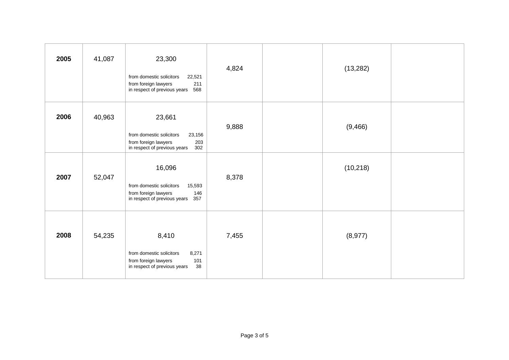| 2005 | 41,087 | 23,300<br>from domestic solicitors<br>22,521<br>211<br>from foreign lawyers<br>568<br>in respect of previous years | 4,824 | (13, 282) |  |
|------|--------|--------------------------------------------------------------------------------------------------------------------|-------|-----------|--|
| 2006 | 40,963 | 23,661<br>from domestic solicitors<br>23,156<br>203<br>from foreign lawyers<br>in respect of previous years<br>302 | 9,888 | (9, 466)  |  |
| 2007 | 52,047 | 16,096<br>from domestic solicitors<br>15,593<br>from foreign lawyers<br>146<br>in respect of previous years<br>357 | 8,378 | (10, 218) |  |
| 2008 | 54,235 | 8,410<br>8,271<br>from domestic solicitors<br>from foreign lawyers<br>101<br>38<br>in respect of previous years    | 7,455 | (8, 977)  |  |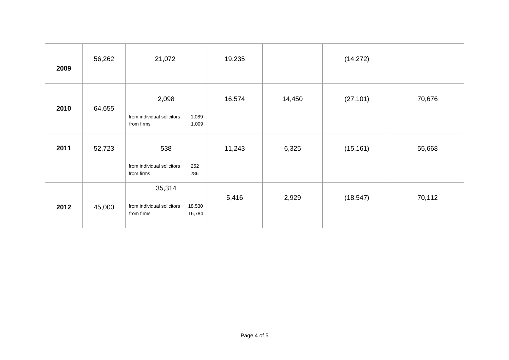| 2009 | 56,262 | 21,072                                                                 | 19,235 |        | (14, 272) |        |
|------|--------|------------------------------------------------------------------------|--------|--------|-----------|--------|
| 2010 | 64,655 | 2,098<br>from individual solicitors<br>1,089<br>from firms<br>1,009    | 16,574 | 14,450 | (27, 101) | 70,676 |
| 2011 | 52,723 | 538<br>from individual solicitors<br>252<br>from firms<br>286          | 11,243 | 6,325  | (15, 161) | 55,668 |
| 2012 | 45,000 | 35,314<br>from individual solicitors<br>18,530<br>from firms<br>16,784 | 5,416  | 2,929  | (18, 547) | 70,112 |